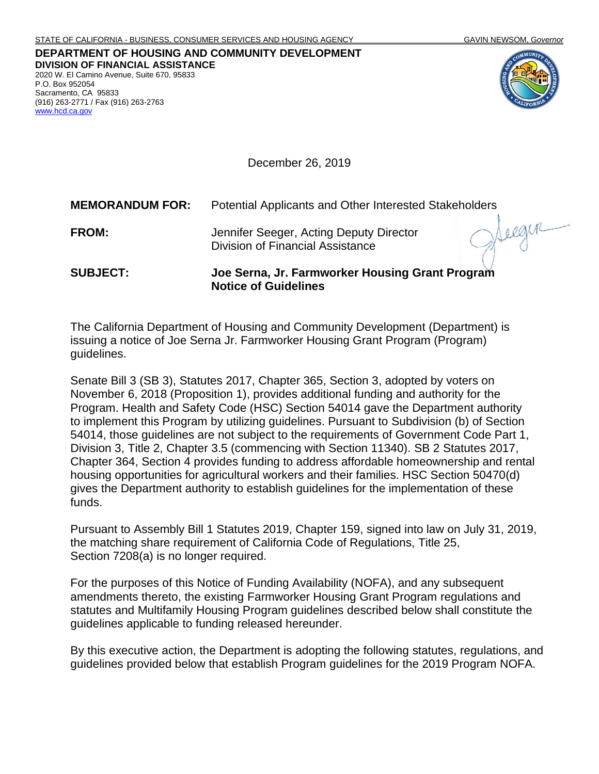## **DEPARTMENT OF HOUSING AND COMMUNITY DEVELOPMENT DIVISION OF FINANCIAL ASSISTANCE** 2020 W. El Camino Avenue, Suite 670, 95833 P.O. Box 952054 Sacramento, CA 95833

(916) 263-2771 / Fax (916) 263-2763

[www.hcd.ca.gov](http://www.hcd.ca.gov/)



December 26, 2019

| <b>SUBJECT:</b>        | Joe Serna, Jr. Farmworker Housing Grant Program<br><b>Notice of Guidelines</b>     |
|------------------------|------------------------------------------------------------------------------------|
| <b>FROM:</b>           | Jennifer Seeger, Acting Deputy Director<br><b>Division of Financial Assistance</b> |
| <b>MEMORANDUM FOR:</b> | Potential Applicants and Other Interested Stakeholders                             |

The California Department of Housing and Community Development (Department) is issuing a notice of Joe Serna Jr. Farmworker Housing Grant Program (Program) guidelines.

Senate Bill 3 (SB 3), Statutes 2017, Chapter 365, Section 3, adopted by voters on November 6, 2018 (Proposition 1), provides additional funding and authority for the Program. Health and Safety Code (HSC) Section 54014 gave the Department authority to implement this Program by utilizing guidelines. Pursuant to Subdivision (b) of Section 54014, those guidelines are not subject to the requirements of Government Code Part 1, Division 3, Title 2, Chapter 3.5 (commencing with Section 11340). SB 2 Statutes 2017, Chapter 364, Section 4 provides funding to address affordable homeownership and rental housing opportunities for agricultural workers and their families. HSC Section 50470(d) gives the Department authority to establish guidelines for the implementation of these funds.

Pursuant to Assembly Bill 1 Statutes 2019, Chapter 159, signed into law on July 31, 2019, the matching share requirement of California Code of Regulations, Title 25, Section 7208(a) is no longer required.

For the purposes of this Notice of Funding Availability (NOFA), and any subsequent amendments thereto, the existing Farmworker Housing Grant Program regulations and statutes and Multifamily Housing Program guidelines described below shall constitute the guidelines applicable to funding released hereunder.

By this executive action, the Department is adopting the following statutes, regulations, and guidelines provided below that establish Program guidelines for the 2019 Program NOFA.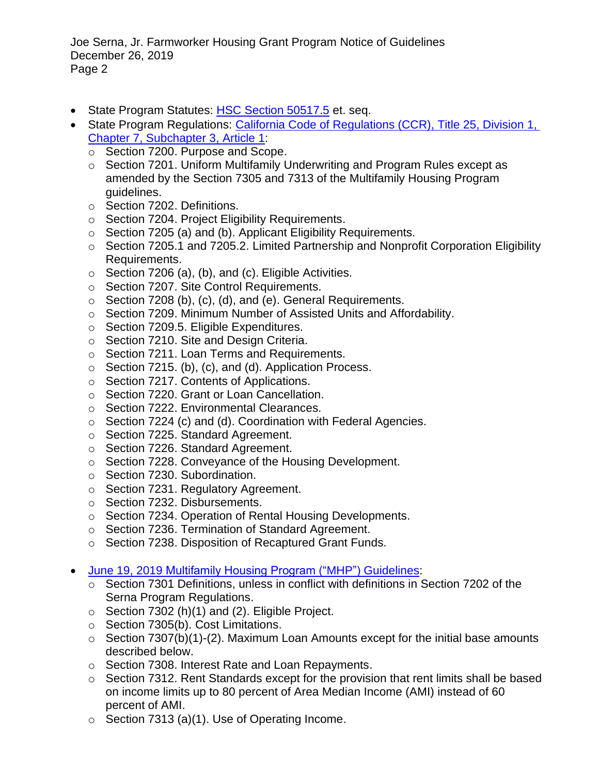Joe Serna, Jr. Farmworker Housing Grant Program Notice of Guidelines December 26, 2019 Page 2

- State Program Statutes: [HSC Section 50517.5](https://leginfo.legislature.ca.gov/faces/codes_displayText.xhtml?lawCode=HSC&division=31.&title=&part=2.&chapter=3.2.&article=) et. seq.
- State Program Regulations: California Code of Regulations (CCR), Title 25, Division 1, Chapter 7, [Subchapter 3,](http://www.hcd.ca.gov/grants-funding/already-have-funding/uniform-multifamily-regulations/docs/New_Serna_Regulations.pdf) Article 1:
	- o Section 7200. Purpose and Scope.
	- o Section 7201. Uniform Multifamily Underwriting and Program Rules except as amended by the Section 7305 and 7313 of the Multifamily Housing Program guidelines.
	- o Section 7202. Definitions.
	- o Section 7204. Project Eligibility Requirements.
	- o Section 7205 (a) and (b). Applicant Eligibility Requirements.
	- o Section 7205.1 and 7205.2. Limited Partnership and Nonprofit Corporation Eligibility Requirements.
	- $\circ$  Section 7206 (a), (b), and (c). Eligible Activities.
	- o Section 7207. Site Control Requirements.
	- o Section 7208 (b), (c), (d), and (e). General Requirements.
	- o Section 7209. Minimum Number of Assisted Units and Affordability.
	- o Section 7209.5. Eligible Expenditures.
	- o Section 7210. Site and Design Criteria.
	- o Section 7211. Loan Terms and Requirements.
	- $\circ$  Section 7215. (b), (c), and (d). Application Process.
	- o Section 7217. Contents of Applications.
	- o Section 7220. Grant or Loan Cancellation.
	- o Section 7222. Environmental Clearances.
	- o Section 7224 (c) and (d). Coordination with Federal Agencies.
	- o Section 7225. Standard Agreement.
	- o Section 7226. Standard Agreement.
	- o Section 7228. Conveyance of the Housing Development.
	- o Section 7230. Subordination.
	- o Section 7231. Regulatory Agreement.
	- o Section 7232. Disbursements.
	- o Section 7234. Operation of Rental Housing Developments.
	- o Section 7236. Termination of Standard Agreement.
	- o Section 7238. Disposition of Recaptured Grant Funds.
- [June 19, 2019 Multifamily Housing Program \("MHP"\)](http://www.hcd.ca.gov/grants-funding/active-funding/mhp/docs/Round-1-MHP-Final-Guidelines.pdf) Guidelines:
	- o Section 7301 Definitions, unless in conflict with definitions in Section 7202 of the Serna Program Regulations.
	- $\circ$  Section 7302 (h)(1) and (2). Eligible Project.
	- o Section 7305(b). Cost Limitations.
	- $\circ$  Section 7307(b)(1)-(2). Maximum Loan Amounts except for the initial base amounts described below.
	- o Section 7308. Interest Rate and Loan Repayments.
	- o Section 7312. Rent Standards except for the provision that rent limits shall be based on income limits up to 80 percent of Area Median Income (AMI) instead of 60 percent of AMI.
	- $\circ$  Section 7313 (a)(1). Use of Operating Income.